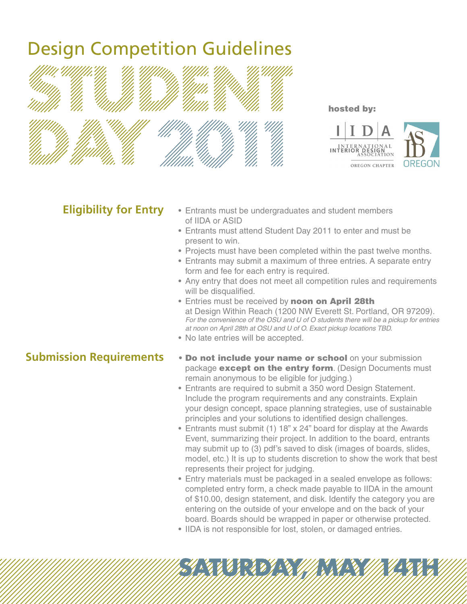# Design Competition Guidelines





hosted by:

#### **Eligibility for Entry**

- Entrants must be undergraduates and student members of IIDA or ASID
- Entrants must attend Student Day 2011 to enter and must be present to win.
- Projects must have been completed within the past twelve months.
- Entrants may submit a maximum of three entries. A separate entry form and fee for each entry is required.
- Any entry that does not meet all competition rules and requirements will be disqualified.
- Entries must be received by noon on April 28th at Design Within Reach (1200 NW Everett St. Portland, OR 97209). *For the convenience of the OSU and U of O students there will be a pickup for entries at noon on April 28th at OSU and U of O. Exact pickup locations TBD.*
- No late entries will be accepted.

## **Submission Requirements**

- **Do not include your name or school** on your submission package except on the entry form. (Design Documents must remain anonymous to be eligible for judging.)
- Entrants are required to submit a 350 word Design Statement. Include the program requirements and any constraints. Explain your design concept, space planning strategies, use of sustainable principles and your solutions to identified design challenges.
- Entrants must submit (1) 18" x 24" board for display at the Awards Event, summarizing their project. In addition to the board, entrants may submit up to (3) pdf's saved to disk (images of boards, slides, model, etc.) It is up to students discretion to show the work that best represents their project for judging.
- Entry materials must be packaged in a sealed envelope as follows: completed entry form, a check made payable to IIDA in the amount of \$10.00, design statement, and disk. Identify the category you are entering on the outside of your envelope and on the back of your board. Boards should be wrapped in paper or otherwise protected.

**SATURDAY, MAY 14TH** 

• IIDA is not responsible for lost, stolen, or damaged entries.